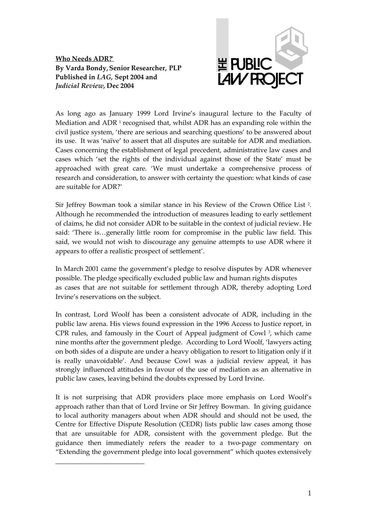**Who Needs ADR?\* By Varda Bondy,Senior Researcher, PLP Published in** *LAG,* **Sept 2004 and** *Judicial Review,* **Dec 2004**



As long ago as January 1999 Lord Irvine's inaugural lecture to the Faculty of Mediation and ADR<sup>1</sup> recognised that, whilst ADR has an expanding role within the civil justice system, 'there are serious and searching questions' to be answered about its use. It was 'naïve' to assert that all disputes are suitable for ADR and mediation. Cases concerning the establishment of legal precedent, administrative law cases and cases which 'set the rights of the individual against those of the State' must be approached with great care. 'We must undertake a comprehensive process of research and consideration, to answer with certainty the question: what kinds of case are suitable for ADR?'

Sir Jeffrey Bowman took a similar stance in his Review of the Crown Office List<sup>2</sup>. Although he recommended the introduction of measures leading to early settlement of claims, he did not consider ADR to be suitable in the context of judicial review. He said: 'There is…generally little room for compromise in the public law field. This said, we would not wish to discourage any genuine attempts to use ADR where it appears to offer a realistic prospect of settlement'.

In March 2001 came the government's pledge to resolve disputes by ADR whenever possible. The pledge specifically excluded public law and human rights disputes as cases that are not suitable for settlement through ADR, thereby adopting Lord Irvine's reservations on the subject.

In contrast, Lord Woolf has been a consistent advocate of ADR, including in the public law arena. His views found expression in the 1996 Access to Justice report, in CPR rules, and famously in the Court of Appeal judgment of Cowl<sup>3</sup>, which came nine months after the government pledge. According to Lord Woolf, 'lawyers acting on both sides of a dispute are under a heavy obligation to resort to litigation only if it is really unavoidable'. And because Cowl was a judicial review appeal, it has strongly influenced attitudes in favour of the use of mediation as an alternative in public law cases, leaving behind the doubts expressed by Lord Irvine.

It is not surprising that ADR providers place more emphasis on Lord Woolf's approach rather than that of Lord Irvine or Sir Jeffrey Bowman. In giving guidance to local authority managers about when ADR should and should not be used, the Centre for Effective Dispute Resolution (CEDR) lists public law cases among those that are unsuitable for ADR, consistent with the government pledge. But the guidance then immediately refers the reader to a two-page commentary on "Extending the government pledge into local government" which quotes extensively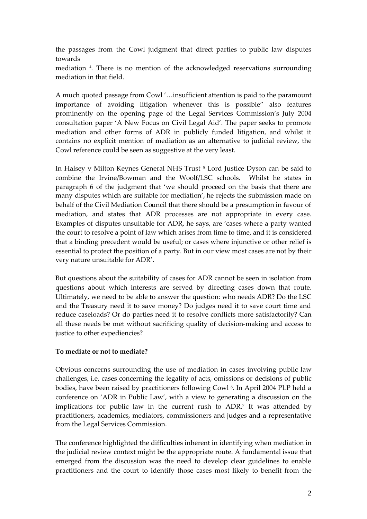the passages from the Cowl judgment that direct parties to public law disputes towards

mediation <sup>4</sup> . There is no mention of the acknowledged reservations surrounding mediation in that field.

A much quoted passage from Cowl '…insufficient attention is paid to the paramount importance of avoiding litigation whenever this is possible" also features prominently on the opening page of the Legal Services Commission's July 2004 consultation paper 'A New Focus on Civil Legal Aid'. The paper seeks to promote mediation and other forms of ADR in publicly funded litigation, and whilst it contains no explicit mention of mediation as an alternative to judicial review, the Cowl reference could be seen as suggestive at the very least.

In Halsey v Milton Keynes General NHS Trust <sup>5</sup> Lord Justice Dyson can be said to combine the Irvine/Bowman and the Woolf/LSC schools. Whilst he states in paragraph 6 of the judgment that 'we should proceed on the basis that there are many disputes which are suitable for mediation', he rejects the submission made on behalf of the Civil Mediation Council that there should be a presumption in favour of mediation, and states that ADR processes are not appropriate in every case. Examples of disputes unsuitable for ADR, he says, are 'cases where a party wanted the court to resolve a point of law which arises from time to time, and it is considered that a binding precedent would be useful; or cases where injunctive or other relief is essential to protect the position of a party. But in our view most cases are not by their very nature unsuitable for ADR'.

But questions about the suitability of cases for ADR cannot be seen in isolation from questions about which interests are served by directing cases down that route. Ultimately, we need to be able to answer the question: who needs ADR? Do the LSC and the Treasury need it to save money? Do judges need it to save court time and reduce caseloads? Or do parties need it to resolve conflicts more satisfactorily? Can all these needs be met without sacrificing quality of decision-making and access to justice to other expediencies?

# **To mediate or not to mediate?**

Obvious concerns surrounding the use of mediation in cases involving public law challenges, i.e. cases concerning the legality of acts, omissions or decisions of public bodies, have been raised by practitioners following Cowl <sup>6</sup> . In April 2004 PLP held a conference on 'ADR in Public Law', with a view to generating a discussion on the implications for public law in the current rush to ADR.<sup>7</sup> It was attended by practitioners, academics, mediators, commissioners and judges and a representative from the Legal Services Commission.

The conference highlighted the difficulties inherent in identifying when mediation in the judicial review context might be the appropriate route. A fundamental issue that emerged from the discussion was the need to develop clear guidelines to enable practitioners and the court to identify those cases most likely to benefit from the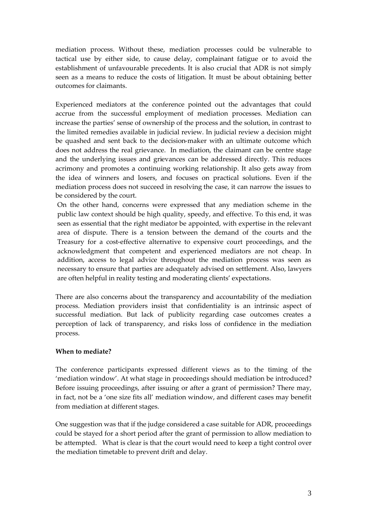mediation process. Without these, mediation processes could be vulnerable to tactical use by either side, to cause delay, complainant fatigue or to avoid the establishment of unfavourable precedents. It is also crucial that ADR is not simply seen as a means to reduce the costs of litigation. It must be about obtaining better outcomes for claimants.

Experienced mediators at the conference pointed out the advantages that could accrue from the successful employment of mediation processes. Mediation can increase the parties' sense of ownership of the process and the solution, in contrast to the limited remedies available in judicial review. In judicial review a decision might be quashed and sent back to the decision-maker with an ultimate outcome which does not address the real grievance. In mediation, the claimant can be centre stage and the underlying issues and grievances can be addressed directly. This reduces acrimony and promotes a continuing working relationship. It also gets away from the idea of winners and losers, and focuses on practical solutions. Even if the mediation process does not succeed in resolving the case, it can narrow the issues to be considered by the court.

On the other hand, concerns were expressed that any mediation scheme in the public law context should be high quality, speedy, and effective. To this end, it was seen as essential that the right mediator be appointed, with expertise in the relevant area of dispute. There is a tension between the demand of the courts and the Treasury for a cost-effective alternative to expensive court proceedings, and the acknowledgment that competent and experienced mediators are not cheap. In addition, access to legal advice throughout the mediation process was seen as necessary to ensure that parties are adequately advised on settlement. Also, lawyers are often helpful in reality testing and moderating clients' expectations.

There are also concerns about the transparency and accountability of the mediation process. Mediation providers insist that confidentiality is an intrinsic aspect of successful mediation. But lack of publicity regarding case outcomes creates a perception of lack of transparency, and risks loss of confidence in the mediation process.

# **When to mediate?**

The conference participants expressed different views as to the timing of the 'mediation window'. At what stage in proceedings should mediation be introduced? Before issuing proceedings, after issuing or after a grant of permission? There may, in fact, not be a 'one size fits all' mediation window, and different cases may benefit from mediation at different stages.

One suggestion was that if the judge considered a case suitable for ADR, proceedings could be stayed for a short period after the grant of permission to allow mediation to be attempted. What is clear is that the court would need to keep a tight control over the mediation timetable to prevent drift and delay.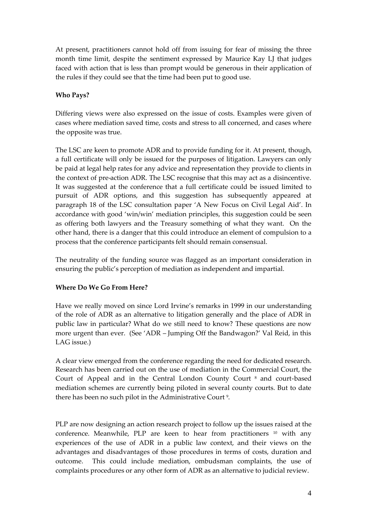At present, practitioners cannot hold off from issuing for fear of missing the three month time limit, despite the sentiment expressed by Maurice Kay LJ that judges faced with action that is less than prompt would be generous in their application of the rules if they could see that the time had been put to good use.

# **Who Pays?**

Differing views were also expressed on the issue of costs. Examples were given of cases where mediation saved time, costs and stress to all concerned, and cases where the opposite was true.

The LSC are keen to promote ADR and to provide funding for it. At present, though, a full certificate will only be issued for the purposes of litigation. Lawyers can only be paid at legal help rates for any advice and representation they provide to clients in the context of pre-action ADR. The LSC recognise that this may act as a disincentive. It was suggested at the conference that a full certificate could be issued limited to pursuit of ADR options, and this suggestion has subsequently appeared at paragraph 18 of the LSC consultation paper 'A New Focus on Civil Legal Aid'. In accordance with good 'win/win' mediation principles, this suggestion could be seen as offering both lawyers and the Treasury something of what they want. On the other hand, there is a danger that this could introduce an element of compulsion to a process that the conference participants felt should remain consensual.

The neutrality of the funding source was flagged as an important consideration in ensuring the public's perception of mediation as independent and impartial.

# **Where Do We Go From Here?**

Have we really moved on since Lord Irvine's remarks in 1999 in our understanding of the role of ADR as an alternative to litigation generally and the place of ADR in public law in particular? What do we still need to know? These questions are now more urgent than ever. (See 'ADR – Jumping Off the Bandwagon?' Val Reid, in this LAG issue.)

A clear view emerged from the conference regarding the need for dedicated research. Research has been carried out on the use of mediation in the Commercial Court, the Court of Appeal and in the Central London County Court <sup>8</sup> and court-based mediation schemes are currently being piloted in several county courts. But to date there has been no such pilot in the Administrative Court<sup>9</sup>.

PLP are now designing an action research project to follow up the issues raised at the conference. Meanwhile, PLP are keen to hear from practitioners  $10$  with any experiences of the use of ADR in a public law context, and their views on the advantages and disadvantages of those procedures in terms of costs, duration and outcome. This could include mediation, ombudsman complaints, the use of complaints procedures or any other form of ADR as an alternative to judicial review.